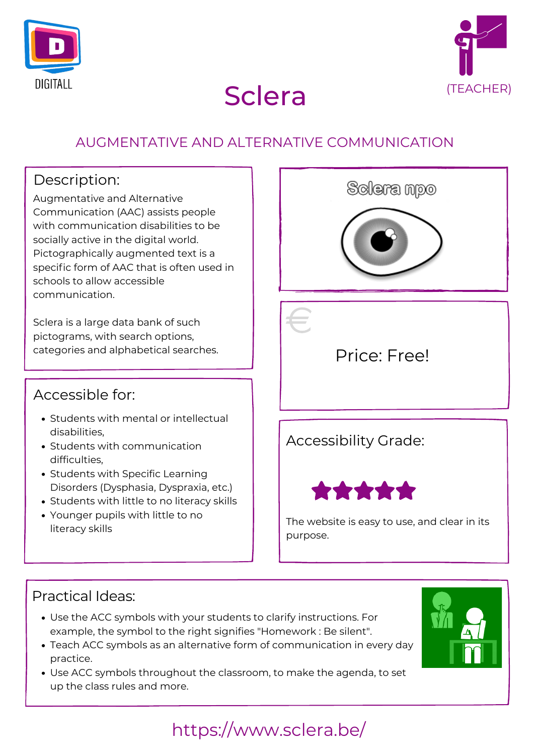



# Sclera (TEACHER)

# https://www.sclera.be/

#### Practical Ideas:

#### Accessible for:

### AUGMENTATIVE AND ALTERNATIVE COMMUNICATION

### Description:

Augmentative and Alternative Communication (AAC) assists people with communication disabilities to be socially active in the digital world. Pictographically augmented text is a specific form of AAC that is often used in schools to allow accessible communication.

Sclera is a large data bank of such pictograms, with search options,



- Students with mental or intellectual disabilities,
- Students with communication difficulties,
- Students with Specific Learning Disorders (Dysphasia, Dyspraxia, etc.)
- Students with little to no literacy skills
- Younger pupils with little to no literacy skills

# Accessibility Grade:



The website is easy to use, and clear in its purpose.

- Use the ACC symbols with your students to clarify instructions. For example, the symbol to the right signifies "Homework : Be silent".
- Teach ACC symbols as an alternative form of communication in every day practice.
- Use ACC symbols throughout the classroom, to make the agenda, to set up the class rules and more.